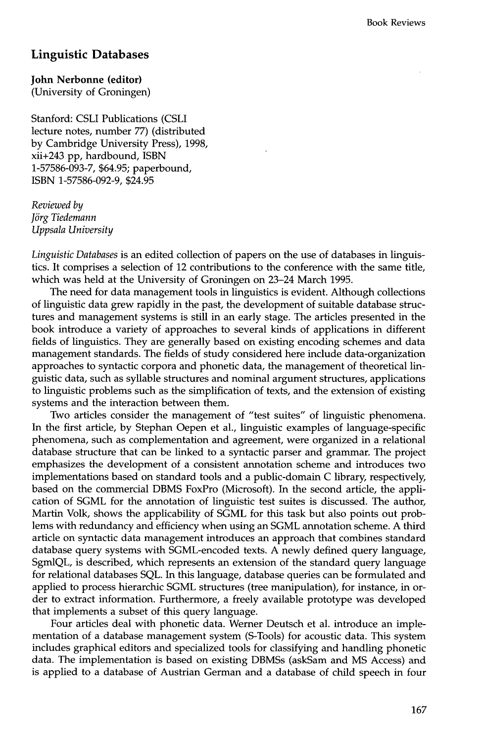## **Linguistic Databases**

**John Nerbonne (editor)** 

(University of Groningen)

Stanford: CSLI Publications (CSLI lecture notes, number 77) (distributed by Cambridge University Press), 1998, xii+243 pp, hardbound, ISBN 1-57586-093-7, \$64.95; paperbound, ISBN 1-57586-092-9, \$24.95

*Reviewed by J6rg Tiedemann Uppsala University* 

*Linguistic Databases* is an edited collection of papers on the use of databases in linguistics. It comprises a selection of 12 contributions to the conference with the same title, which was held at the University of Groningen on 23-24 March 1995.

The need for data management tools in linguistics is evident. Although collections of linguistic data grew rapidly in the past, the development of suitable database structures and management systems is still in an early stage. The articles presented in the book introduce a variety of approaches to several kinds of applications in different fields of linguistics. They are generally based on existing encoding schemes and data management standards. The fields of study considered here include data-organization approaches to syntactic corpora and phonetic data, the management of theoretical linguistic data, such as syllable structures and nominal argument structures, applications to linguistic problems such as the simplification of texts, and the extension of existing systems and the interaction between them.

Two articles consider the management of "test suites" of linguistic phenomena. In the first article, by Stephan Oepen et al., linguistic examples of language-specific phenomena, such as complementation and agreement, were organized in a relational database structure that can be linked to a syntactic parser and grammar. The project emphasizes the development of a consistent annotation scheme and introduces two implementations based on standard tools and a public-domain C library, respectively, based on the commercial DBMS FoxPro (Microsoft). In the second article, the application of SGML for the annotation of linguistic test suites is discussed. The author, Martin Volk, shows the applicability of SGML for this task but also points out problems with redundancy and efficiency when using an SGML annotation scheme. A third article on syntactic data management introduces an approach that combines standard database query systems with SGML-encoded texts. A newly defined query language, SgmlQL, is described, which represents an extension of the standard query language for relational databases SQL. In this language, database queries can be formulated and applied to process hierarchic SGML structures (tree manipulation), for instance, in order to extract information. Furthermore, a freely available prototype was developed that implements a subset of this query language.

Four articles deal with phonetic data. Werner Deutsch et al. introduce an implementation of a database management system (S-Tools) for acoustic data. This system includes graphical editors and specialized tools for classifying and handling phonetic data. The implementation is based on existing DBMSs (askSam and MS Access) and is applied to a database of Austrian German and a database of child speech in four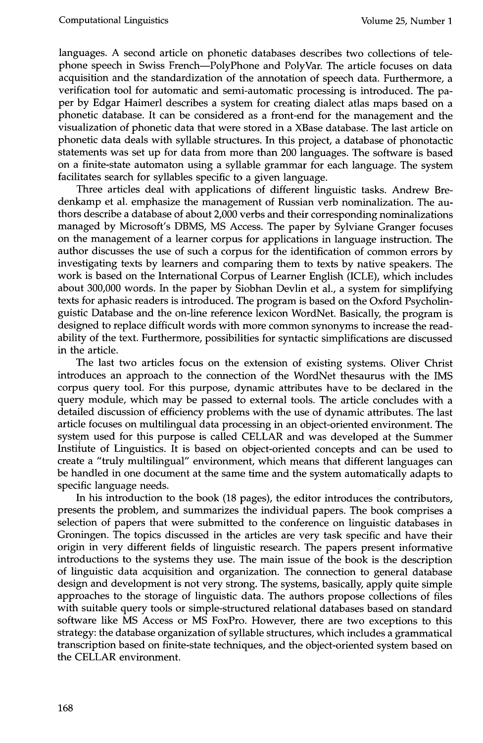languages. A second article on phonetic databases describes two collections of telephone speech in Swiss French--PolyPhone and PolyVar. The article focuses on data acquisition and the standardization of the annotation of speech data. Furthermore, a verification tool for automatic and semi-automatic processing is introduced. The paper by Edgar Haimerl describes a system for creating dialect atlas maps based on a phonetic database. It can be considered as a front-end for the management and the visualization of phonetic data that were stored in a XBase database. The last article on phonetic data deals with syllable structures. In this project, a database of phonotactic statements was set up for data from more than 200 languages. The software is based on a finite-state automaton using a syllable grammar for each language. The system facilitates search for syllables specific to a given language.

Three articles deal with applications of different linguistic tasks. Andrew Bredenkamp et al. emphasize the management of Russian verb nominalization. The authors describe a database of about 2,000 verbs and their corresponding nominalizations managed by Microsoft's DBMS, MS Access. The paper by Sylviane Granger focuses on the management of a learner corpus for applications in language instruction. The author discusses the use of such a corpus for the identification of common errors by investigating texts by learners and comparing them to texts by native speakers. The work is based on the International Corpus of Learner English (ICLE), which includes about 300,000 words. In the paper by Siobhan Devlin et al., a system for simplifying texts for aphasic readers is introduced. The program is based on the Oxford Psycholinguistic Database and the on-line reference lexicon WordNet. Basically, the program is designed to replace difficult words with more common synonyms to increase the readability of the text. Furthermore, possibilities for syntactic simplifications are discussed in the article.

The last two articles focus on the extension of existing systems. Oliver Christ introduces an approach to the connection of the WordNet thesaurus with the IMS corpus query tool. For this purpose, dynamic attributes have to be declared in the query module, which may be passed to external tools. The article concludes with a detailed discussion of efficiency problems with the use of dynamic attributes. The last article focuses on multilingual data processing in an object-oriented environment. The system used for this purpose is called CELLAR and was developed at the Summer Institute of Linguistics. It is based on object-oriented concepts and can be used to create a "truly multilingual" environment, which means that different languages can be handled in one document at the same time and the system automatically adapts to specific language needs.

In his introduction to the book (18 pages), the editor introduces the contributors, presents the problem, and summarizes the individual papers. The book comprises a selection of papers that were submitted to the conference on linguistic databases in Groningen. The topics discussed in the articles are very task specific and have their origin in very different fields of linguistic research. The papers present informative introductions to the systems they use. The main issue of the book is the description of linguistic data acquisition and organization. The connection to general database design and development is not very strong. The systems, basically, apply quite simple approaches to the storage of linguistic data. The authors propose collections of files with suitable query tools or simple-structured relational databases based on standard software like MS Access or MS FoxPro. However, there are two exceptions to this strategy: the database organization of syllable structures, which includes a grammatical transcription based on finite-state techniques, and the object-oriented system based on the CELLAR environment.